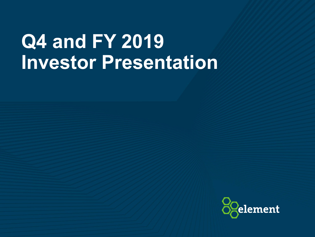# **Q4 and FY 2019 Investor Presentation**

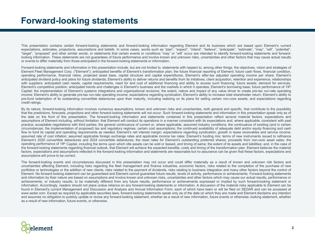### **Forward-looking statements**

This presentation contains certain forward-looking statements and forward-looking information regarding Element and its business which are based upon Element's current expectations, estimates, projections, assumptions and beliefs. In some cases, words such as "plan", "expect", "intend", "believe", "anticipate", "estimate", "may", "will", "potential", "target", "proposed" and other similar words, or statements that certain events or conditions "may" or "will" occur are intended to identify forward-looking statements and forwardlooking information. These statements are not guarantees of future performance and involve known and unknown risks, uncertainties and other factors that may cause actual results or events to differ materially from those anticipated in the forward-looking statements or information.

Forward-looking statements and information in this presentation include, but are not limited to, statements with respect to, among other things, the objectives, vision and strategies of Element Fleet Management Corp. ("Element"); anticipated benefits of Element's transformation plan; the future financial reporting of Element; future cash flows, financial condition, operating performance, financial ratios, projected asset base, capital structure and capital expenditures; Element's after-tax adjusted operating income per share; Element's anticipated dividend policy and plans for future dividends; Element's ability to deliver returns and benefits from its initiatives; client acquisition, retention and experience; relationships with suppliers; anticipated cash needs, capital requirements, need for and cost of additional financing and ability to access such financing; future assets; demand for services; Element's competitive position; anticipated trends and challenges in Element's business and the markets in which it operates; Element's borrowing base; future performance of 19<sup>th</sup> Capital; the implementation of Element's systems integrations and organizational revisions; the extent, nature and impact of any value driver to create pre-tax run-rate operating income; Element's ability to generate pre-tax run-rate operating income; expectations regarding syndication; Element's ability to increase total shareholder return; Element's ability to pre-fund redemption of its outstanding convertible debentures upon their maturity, including realizing on its plans for selling certain non-core assets; and expectations regarding credit ratings.

By its nature, forward-looking information involves numerous assumptions, known and unknown risks and uncertainties, both general and specific, that contribute to the possibility that the predictions, forecasts, projections and other forward-looking statements will not occur. Such forward-looking statements and information in this presentation speak only as of the date on the front of this presentation. The forward-looking information and statements contained in this presentation reflect several material factors, expectations and assumptions of Element including, without limitation: that Element will conduct its operations in a manner consistent with its expectations and, where applicable, consistent with past practice; acceptable negotiations with third parties; the general continuance of current or, where applicable, assumed industry conditions; the continuance of existing (and in certain circumstances, the implementation of proposed) tax and regulatory regimes; certain cost assumptions; the continued availability of adequate debt and/or equity financing and cash flow to fund its capital and operating requirements as needed; Element's net interest margin; expectations regarding syndication; growth in lease receivables and service income; assumed rate of cost inflation; assumed applicable foreign exchange rates and applicable income tax rates; Element's funding mix; terms of new instruments issued to refinance Element's 2020 convertible debentures and 2024 convertible debentures; the reset rates for Element's outstanding preferred shares; proceeds from non-core asset sales; the operating performance of 19<sup>th</sup> Capital, including the terms upon which idle assets can be sold or leased, and timing of same; the extent of its assets and liabilities; and, in the case of the forward-looking statements regarding financial outlook, that Element will achieve the expected benefits, costs and timing of the transformation plan. Element believes the material factors, expectations and assumptions reflected in the forward-looking information and statements are reasonable but no assurance can be given that these factors, expectations and assumptions will prove to be correct.

The forward-looking events and circumstances discussed in this presentation may not occur and could differ materially as a result of known and unknown risk factors and uncertainties affecting Element, including risks regarding the fleet management and finance industries, economic factors, risks related to the completion of the purchase of new portfolios or technologies or the addition of new clients, risks related to the payment of dividends, risks relating to business integration and many other factors beyond the control of Element. No forward-looking statement can be guaranteed and Element cannot guarantee future results, levels of activity, performance or achievements. Forward-looking statements and information by their nature are based on assumptions and involve known and unknown risks, uncertainties and other factors which may cause our actual results, performance or achievements, or industry results, to be materially different from any future results, performance or achievements expressed or implied by such forward-looking statement or information. Accordingly, readers should not place undue reliance on any forward-looking statements or information. A discussion of the material risks applicable to Element can be found in Element's current Management and Discussion and Analysis and Annual Information Form, each of which have been or will be filed on SEDAR and can be accessed at www.sedar.com. Except as required by applicable securities laws, forward-looking statements speak only as of the date on which they are made and Element disclaims any intention and assumes no obligation to publicly update or revise any forward-looking statement, whether as a result of new information, future events or otherwise.-looking statement, whether as a result of new information, future events, or otherwise.

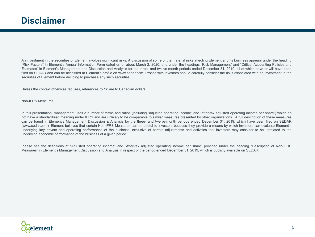An investment in the securities of Element involves significant risks. A discussion of some of the material risks affecting Element and its business appears under the heading "Risk Factors" in Element's Annual Information Form dated on or about March 2, 2020, and under the headings "Risk Management" and "Critical Accounting Policies and Estimates" in Element's Management and Discussion and Analysis for the three- and twelve-month periods ended December 31, 2019, all of which have or will have been filed on SEDAR and can be accessed at Element's profile on www.sedar.com. Prospective investors should carefully consider the risks associated with an investment in the securities of Element before deciding to purchase any such securities.

Unless the context otherwise requires, references to "\$" are to Canadian dollars.

Non-IFRS Measures

In this presentation, management uses a number of terms and ratios (including "adjusted operating income" and "after-tax adjusted operating income per share") which do not have a standardized meaning under IFRS and are unlikely to be comparable to similar measures presented by other organizations. A full description of these measures can be found in Element's Management Discussion & Analysis for the three- and twelve-month periods ended December 31, 2019, which have been filed on SEDAR (www.sedar.com). Element believes that certain Non-IFRS Measures can be useful to investors because they provide a means by which investors can evaluate Element's underlying key drivers and operating performance of the business, exclusive of certain adjustments and activities that investors may consider to be unrelated to the underlying economic performance of the business of a given period.

Please see the definitions of "Adjusted operating income" and "After-tax adjusted operating income per share" provided under the heading "Description of Non-IFRS Measures" in Element's Management Discussion and Analysis in respect of the period ended December 31, 2019, which is publicly available on SEDAR.

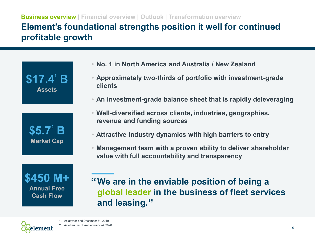### **Element's foundational strengths position it well for continued profitable growth Business overview | Financial overview | Outlook | Transformation overview**



- **No. 1 in North America and Australia / New Zealand**
- **Approximately two-thirds of portfolio with investment-grade clients**
- **An investment-grade balance sheet that is rapidly deleveraging**
- **Well-diversified across clients, industries, geographies, revenue and funding sources**
- **Attractive industry dynamics with high barriers to entry**
- **Management team with a proven ability to deliver shareholder value with full accountability and transparency**





**Annual Free Cash Flow**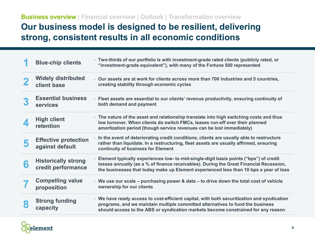**Business overview | Financial overview | Outlook | Transformation overview**

## **Our business model is designed to be resilient, delivering strong, consistent results in all economic conditions**

|   | <b>Blue-chip clients</b>                         | Two-thirds of our portfolio is with investment-grade rated clients (publicly rated, or<br>"investment-grade equivalent"), with many of the Fortune 500 represented                                                                                                       |
|---|--------------------------------------------------|--------------------------------------------------------------------------------------------------------------------------------------------------------------------------------------------------------------------------------------------------------------------------|
|   | <b>Widely distributed</b><br>client base         | Our assets are at work for clients across more than 700 industries and 5 countries,<br>creating stability through economic cycles                                                                                                                                        |
|   | <b>Essential business</b><br><b>services</b>     | Fleet assets are essential to our clients' revenue productivity, ensuring continuity of<br>both demand and payment                                                                                                                                                       |
|   | <b>High client</b><br>retention                  | • The nature of the asset and relationship translate into high switching costs and thus<br>low turnover. When clients do switch FMCs, leases run-off over their planned<br>amortization period (though service revenues can be lost immediately)                         |
|   | <b>Effective protection</b><br>against default   | In the event of deteriorating credit conditions, clients are usually able to restructure<br>$\bullet$ .<br>rather than liquidate. In a restructuring, fleet assets are usually affirmed, ensuring<br>continuity of business for Element                                  |
| 6 | <b>Historically strong</b><br>credit performance | Element typically experiences low- to mid-single-digit basis points ("bps") of credit<br>losses annually (as a % of finance receivables). During the Great Financial Recession,<br>the businesses that today make up Element experienced less than 10 bps a year of loss |
|   | <b>Compelling value</b><br>proposition           | • We use our scale – purchasing power & data – to drive down the total cost of vehicle<br>ownership for our clients                                                                                                                                                      |
|   | <b>Strong funding</b><br>capacity                | • We have ready access to cost-efficient capital, with both securitization and syndication<br>programs, and we maintain multiple committed alternatives to fund the business<br>should access to the ABS or syndication markets become constrained for any reason        |

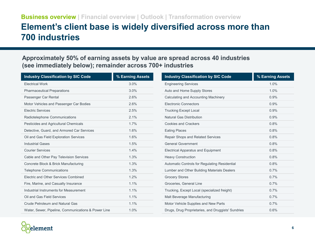### **Business overview | Financial overview | Outlook | Transformation overview**

### **Element's client base is widely diversified across more than 700 industries**

#### **Approximately 50% of earning assets by value are spread across 40 industries (see immediately below); remainder across 700+ industries**

| <b>Industry Classification by SIC Code</b>          | % Earning Assets | <b>Industry Classification by SIC Code</b>         | % Earning Assets |
|-----------------------------------------------------|------------------|----------------------------------------------------|------------------|
| <b>Electrical Work</b>                              | 3.0%             | <b>Engineering Services</b>                        | 1.0%             |
| <b>Pharmaceutical Preparations</b>                  | 3.0%             | Auto and Home Supply Stores                        | 1.0%             |
| Passenger Car Rental                                | 2.6%             | Calculating and Accounting Machinery               | 0.9%             |
| Motor Vehicles and Passenger Car Bodies             | 2.6%             | <b>Electronic Connectors</b>                       | 0.9%             |
| <b>Electric Services</b>                            | 2.5%             | <b>Trucking Except Local</b>                       | 0.9%             |
| Radiotelephone Communications                       | 2.1%             | <b>Natural Gas Distribution</b>                    | 0.9%             |
| Pesticides and Agricultural Chemicals               | 1.7%             | <b>Cookies and Crackers</b>                        | 0.8%             |
| Detective, Guard, and Armored Car Services          | 1.6%             | <b>Eating Places</b>                               | 0.8%             |
| Oil and Gas Field Exploration Services              | 1.6%             | Repair Shops and Related Services                  | 0.8%             |
| <b>Industrial Gases</b>                             | 1.5%             | <b>General Government</b>                          | 0.8%             |
| <b>Courier Services</b>                             | 1.4%             | <b>Electrical Apparatus and Equipment</b>          | 0.8%             |
| Cable and Other Pay Television Services             | 1.3%             | <b>Heavy Construction</b>                          | 0.8%             |
| Concrete Block & Brick Manufacturing                | 1.3%             | Automatic Controls for Regulating Residential      | 0.8%             |
| <b>Telephone Communications</b>                     | 1.3%             | Lumber and Other Building Materials Dealers        | 0.7%             |
| Electric and Other Services Combined                | 1.2%             | <b>Grocery Stores</b>                              | 0.7%             |
| Fire, Marine, and Casualty Insurance                | 1.1%             | Groceries, General Line                            | 0.7%             |
| Industrial Instruments for Measurement              | 1.1%             | Trucking, Except Local (specialized freight)       | 0.7%             |
| Oil and Gas Field Services                          | 1.1%             | Malt Beverage Manufacturing                        | 0.7%             |
| <b>Crude Petroleum and Natural Gas</b>              | 1.1%             | Motor Vehicle Supplies and New Parts               | 0.7%             |
| Water, Sewer, Pipeline, Communications & Power Line | 1.0%             | Drugs, Drug Proprietaries, and Druggists' Sundries | 0.6%             |

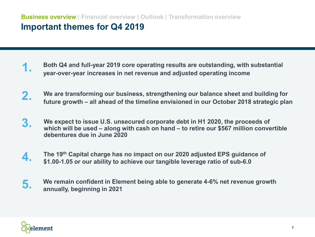- **Both Q4 and full-year 2019 core operating results are outstanding, with substantial year-over-year increases in net revenue and adjusted operating income 1.**
- **We are transforming our business, strengthening our balance sheet and building for future growth – all ahead of the timeline envisioned in our October 2018 strategic plan 2.**
- **We expect to issue U.S. unsecured corporate debt in H1 2020, the proceeds of which will be used – along with cash on hand – to retire our \$567 million convertible debentures due in June 2020 3.**
- **4. The 19th Capital charge has no impact on our 2020 adjusted EPS guidance of \$1.00-1.05 or our ability to achieve our tangible leverage ratio of sub-6.0**
- **5.** We remain confident in Element being able to generate 4-6% net revenue growth **annually, beginning in 2021**

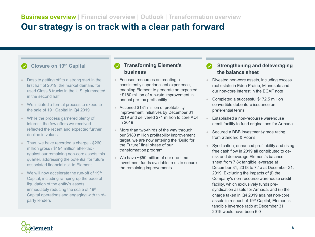### **Our strategy is on track with a clear path forward**

#### **Closure on 19th Capital**

- Despite getting off to a strong start in the first half of 2019, the market demand for used Class 8 trucks in the U.S. plummeted in the second half
- We initiated a formal process to expedite the sale of 19<sup>th</sup> Capital in Q4 2019
- While the process garnered plenty of interest, the few offers we received reflected the recent and expected further decline in values
- Thus, we have recorded a charge \$260 million gross / \$194 million after-tax against our remaining non-core assets this quarter, addressing the potential for future associated financial risk to Element
- We will now accelerate the run-off of 19<sup>th</sup> Capital, including ramping-up the pace of liquidation of the entity's assets, immediately reducing the scale of 19<sup>th</sup> Capital operations and engaging with thirdparty lenders

#### **Transforming Element's business**

- Focused resources on creating a consistently superior client experience, enabling Element to generate an expected ~\$180 million of run-rate improvement in annual pre-tax profitability
- Actioned \$131 million of profitability improvement initiatives by December 31, 2019 and delivered \$71 million to core AOI in 2019
- More than two-thirds of the way through our \$180 million profitability improvement target, we are now entering the "Build for the Future" final phase of our transformation program
- We have  $\sim$ \$50 million of our one-time investment funds available to us to secure the remaining improvements

#### **Strengthening and deleveraging the balance sheet**

- Divested non-core assets, including excess real estate in Eden Prairie, Minnesota and our non-core interest in the ECAF note
- Completed a successful \$172.5 million convertible debenture issuance on preferential terms
- Established a non-recourse warehouse credit facility to fund originations for Armada
- Secured a BBB investment-grade rating from Standard & Poor's
- Syndication, enhanced profitability and rising free cash flow in 2019 all contributed to derisk and deleverage Element's balance sheet from 7.8x tangible leverage at December 31, 2018 to 7.1x at December 31, 2019. Excluding the impacts of (i) the Company's non-recourse warehouse credit facility, which exclusively funds presyndication assets for Armada, and (ii) the charge taken in Q4 2019 against non-core assets in respect of 19<sup>th</sup> Capital, Element's tangible leverage ratio at December 31, 2019 would have been 6.0

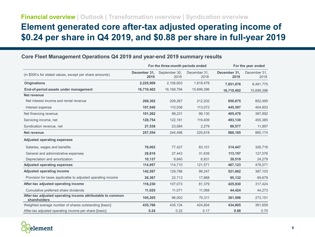#### **Financial overview | Outlook | Transformation overview | Syndication overview**

### **Element generated core after-tax adjusted operating income of \$0.24 per share in Q4 2019, and \$0.88 per share in full-year 2019**

#### **Core Fleet Management Operations Q4 2019 and year-end 2019 summary results**

|                                                                            |                      | For the three-month periods ended | For the year ended   |                      |                      |
|----------------------------------------------------------------------------|----------------------|-----------------------------------|----------------------|----------------------|----------------------|
| (in \$000's for stated values, except per share amounts)                   | December 31,<br>2019 | September 30,<br>2019             | December 31,<br>2018 | December 31,<br>2019 | December 31,<br>2018 |
| <b>Originations</b>                                                        | 2,225,909            | 2,106,603                         | 1,819,479            | 7,851,876            | 6,491,775            |
| End-of-period assets under management                                      | 16,710,402           | 16, 169, 794                      | 15,699,396           | 16,710,402           | 15,699,396           |
| Net revenue                                                                |                      |                                   |                      |                      |                      |
| Net interest income and rental revenue                                     | 208,302              | 209,267                           | 212,202              | 850,875              | 802,495              |
| Interest expense                                                           | 107,040              | 110,036                           | 113,072              | 445,397              | 404,603              |
| Net financing revenue                                                      | 101,262              | 99,231                            | 99,130               | 405,478              | 397,892              |
| Servicing income, net                                                      | 128,754              | 122,181                           | 119,409              | 493,130              | 455,385              |
| Syndication revenue, net                                                   | 27,538               | 23,084                            | 2,279                | 89,577               | 11,897               |
| Net revenue                                                                | 257,554              | 244,496                           | 220,818              | 988,185              | 865,174              |
| <b>Adjusted operating expenses</b>                                         |                      |                                   |                      |                      |                      |
| Salaries, wages and benefits                                               | 76,002               | 77,427                            | 83,101               | 314,447              | 326,716              |
| General and administrative expenses                                        | 28,818               | 27,443                            | 31,639               | 113,157              | 127,076              |
| Depreciation and amortization                                              | 10,137               | 9,840                             | 6,831                | 39,519               | 24,279               |
| <b>Adjusted operating expenses</b>                                         | 114,957              | 114,710                           | 121,571              | 467,123              | 478,071              |
| <b>Adjusted operating income</b>                                           | 142,597              | 129,786                           | 99,247               | 521,062              | 387,103              |
| Provision for taxes applicable to adjusted operating income                | 26,367               | 22,713                            | 17,868               | 95,132               | 69,679               |
| After-tax adjusted operating income                                        | 116,230              | 107,073                           | 81,379               | 425,930              | 317,424              |
| Cumulative preferred share dividends                                       | 11,025               | 11,071                            | 11,068               | 44,424               | 44,273               |
| After-tax adjusted operating income attributable to common<br>shareholders | 105,205              | 96,002                            | 70,311               | 381,506              | 273,151              |
| Weighted average number of shares outstanding [basic]                      | 435,766              | 435,134                           | 424,804              | 434,805              | 391,659              |
| After-tax adjusted operating income per share [basic]                      | 0.24                 | 0.22                              | 0.17                 | 0.88                 | 0.70                 |

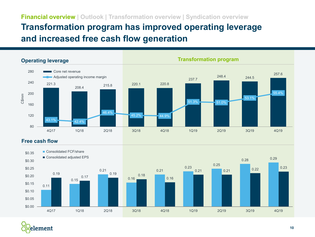**Transformation program has improved operating leverage and increased free cash flow generation Financial overview | Outlook | Transformation overview | Syndication overview**



#### **Free cash flow**



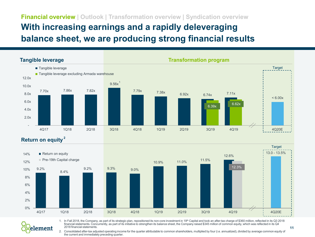### **With increasing earnings and a rapidly deleveraging balance sheet, we are producing strong financial results Financial overview | Outlook | Transformation overview | Syndication overview**





element

1. In Fall 2018, the Company, as part of its strategic plan, repositioned its non-core investment in 19<sup>th</sup> Capital and took an after-tax charge of \$360 million, reflected in its Q3 2018 financial statements. Concurrently, as part of its initiative to strengthen its balance sheet, the Company raised \$345 million of common equity, which was reflected in its Q4 2018 financial statements.

2. Consolidated after-tax adjusted operating income for the quarter attributable to common shareholders, multiplied by four (i.e. annualized), divided by average common equity of the current and immediately preceding quarter.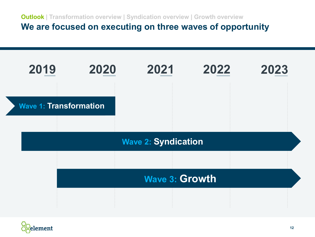**Outlook | Transformation overview | Syndication overview | Growth overview**

**We are focused on executing on three waves of opportunity**



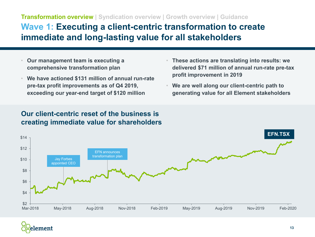**Transformation overview | Syndication overview | Growth overview | Guidance**

## **Wave 1: Executing a client-centric transformation to create immediate and long-lasting value for all stakeholders**

- **Our management team is executing a comprehensive transformation plan**
- **We have actioned \$131 million of annual run-rate pre-tax profit improvements as of Q4 2019, exceeding our year-end target of \$120 million**
- **These actions are translating into results: we delivered \$71 million of annual run-rate pre-tax profit improvement in 2019**
- **We are well along our client-centric path to generating value for all Element stakeholders**

### **Our client-centric reset of the business is creating immediate value for shareholders**



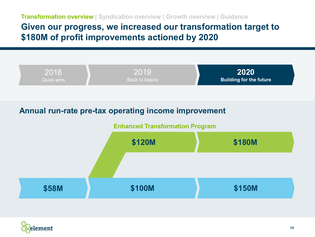**Transformation overview | Syndication overview | Growth overview | Guidance**

### **Given our progress, we increased our transformation target to \$180M of profit improvements actioned by 2020**



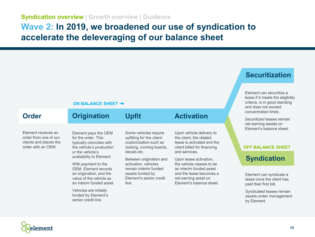#### **Syndication overview | Growth overview | Guidance**

### **Wave 2: In 2019, we broadened our use of syndication to accelerate the deleveraging of our balance sheet**

#### **ON BALANCE SHEET →**

Element receives an

order with an OEM.

**Order Origination** Upfit **Activation** 

order from one of our clients and places the Element pays the OEM for the order. This typically coincides with the vehicle's production or the vehicle's availability to Element.

> With payment to the OEM, Element records an origination, and the value of the vehicle as an interim funded asset.

Vehicles are initially funded by Element's senior credit line.

Some vehicles require upfitting for the client: customization such as racking, running boards, decals etc.

Between origination and activation, vehicles remain interim funded assets funded by Element's senior credit line.

Upon vehicle delivery to the client, the related lease is activated and the client billed for financing and services.

Upon lease activation, the vehicle ceases to be an interim funded asset and the lease becomes a net earning asset on Element's balance sheet.

### **Securitization**

Element can securitize a lease if it meets the eligibility criteria, is in good standing and does not exceed concentration limits.

Securitized leases remain net earning assets on Element's balance sheet.

#### **OFF BALANCE SHEET**

#### **Syndication**

Element can syndicate a lease once the client has paid their first bill.

Syndicated leases remain assets under management by Element.

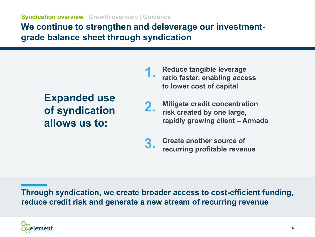**We continue to strengthen and deleverage our investmentgrade balance sheet through syndication**

- **Expanded use of syndication allows us to:**
- **1. Reduce tangible leverage ratio faster, enabling access to lower cost of capital**
- **2. Mitigate credit concentration risk created by one large, rapidly growing client – Armada**
- **3. Create another source of recurring profitable revenue**

**Through syndication, we create broader access to cost-efficient funding, reduce credit risk and generate a new stream of recurring revenue** 

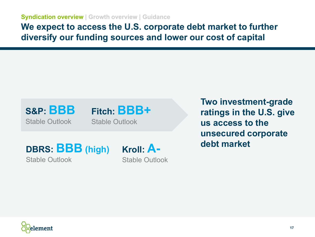**Syndication overview | Growth overview | Guidance**

**We expect to access the U.S. corporate debt market to further diversify our funding sources and lower our cost of capital**

#### **S&P: BBB Fitch: BBB+** Stable Outlook

**Two investment-grade ratings in the U.S. give us access to the unsecured corporate debt market**

**DBRS: BBB (high)**

Stable Outlook

Stable Outlook

**Kroll: A-**Stable Outlook

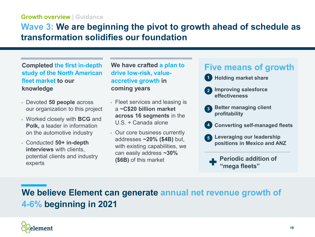### **Wave 3: We are beginning the pivot to growth ahead of schedule as transformation solidifies our foundation**

**Completed the first in-depth study of the North American fleet market to our knowledge**

- Devoted **50 people** across our organization to this project
- Worked closely with **BCG** and **Polk,** a leader in information on the automotive industry
- Conducted **50+ in-depth interviews** with clients, potential clients and industry experts

**We have crafted a plan to drive low-risk, valueaccretive growth in coming years**

- Fleet services and leasing is a **~C\$20 billion market across 16 segments** in the U.S. + Canada alone
- Our core business currently addresses **~20% (\$4B)** but, with existing capabilities, we can easily address **~30% (\$6B)** of this market



- **Holding market share 1**
- **Improving salesforce 2 effectiveness**
- **Better managing client profitability 3**
- **Converting self-managed fleets 4**
- **Leveraging our leadership 5positions in Mexico and ANZ**

**Periodic addition of "mega fleets"**

## **We believe Element can generate annual net revenue growth of 4-6% beginning in 2021**

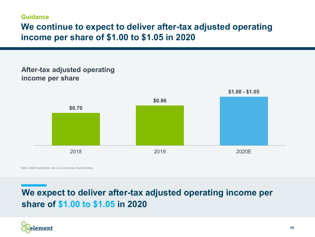#### **Guidance**

### **We continue to expect to deliver after-tax adjusted operating income per share of \$1.00 to \$1.05 in 2020**

### **After-tax adjusted operating income per share**



Note: 2020 estimates are on a currency neutral basis

## **We expect to deliver after-tax adjusted operating income per share of \$1.00 to \$1.05 in 2020**